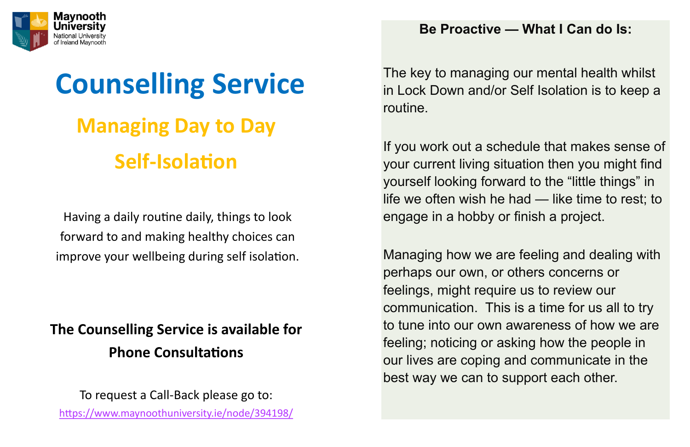## **The Counselling Service is available for Phone Consultations**



# **Counselling Service Managing Day to Day Self-Isolation**

To request a Call-Back please go to: <https://www.maynoothuniversity.ie/node/394198/>

Having a daily routine daily, things to look forward to and making healthy choices can improve your wellbeing during self isolation.

### **Be Proactive — What I Can do Is:**

The key to managing our mental health whilst in Lock Down and/or Self Isolation is to keep a routine.

If you work out a schedule that makes sense of your current living situation then you might find yourself looking forward to the "little things" in life we often wish he had — like time to rest; to engage in a hobby or finish a project.

Managing how we are feeling and dealing with perhaps our own, or others concerns or feelings, might require us to review our communication. This is a time for us all to try to tune into our own awareness of how we are feeling; noticing or asking how the people in our lives are coping and communicate in the best way we can to support each other.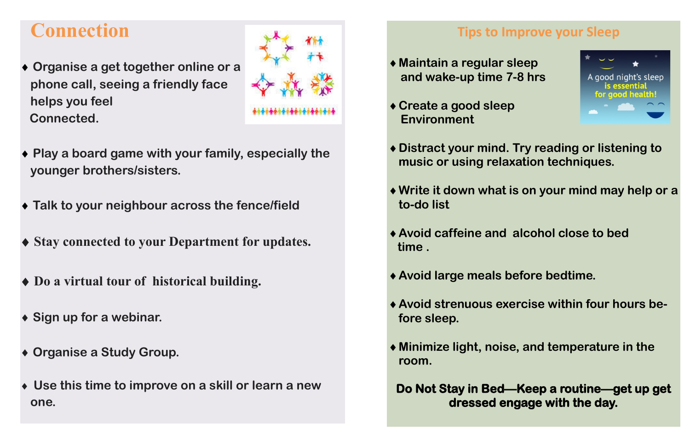## **Connection**

- **Organise a get together online or a phone call, seeing a friendly face helps you feel Connected.**
- **Play a board game with your family, especially the younger brothers/sisters.**
- **Talk to your neighbour across the fence/field**
- **Stay connected to your Department for updates.**
- **Do a virtual tour of historical building.**
- **Sign up for a webinar.**
- **Organise a Study Group.**
- **Use this time to improve on a skill or learn a new one.**

### **Tips to Improve your Sleep**

**Distract your mind. Try reading or listening to** 

**Write it down what is on your mind may help or a** 

- **Maintain a regular sleep and wake-up time 7-8 hrs**
- **Create a good sleep Environment**
- **music or using relaxation techniques.**
- **to-do list**
- **Avoid caffeine and alcohol close to bed time .**
- **Avoid large meals before bedtime.**
- **fore sleep.**
- **room.**

**Avoid strenuous exercise within four hours be-**

**Minimize light, noise, and temperature in the** 

**Do Not Stay in Bed—Keep a routine—get up get dressed engage with the day.** 



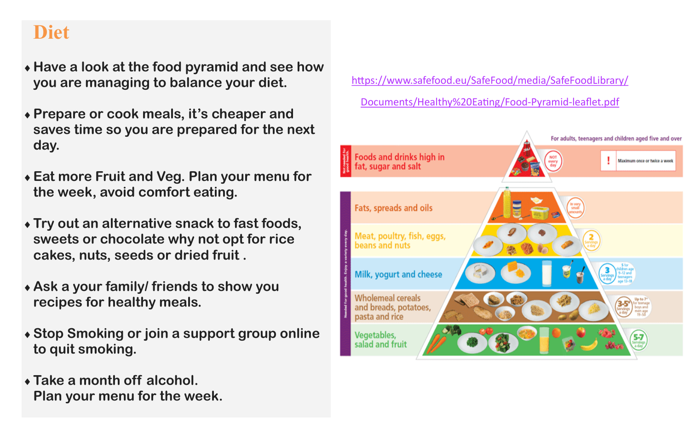## **Diet**

- **Have a look at the food pyramid and see how you are managing to balance your diet.**
- **Prepare or cook meals, it's cheaper and saves time so you are prepared for the next day.**
- **Eat more Fruit and Veg. Plan your menu for the week, avoid comfort eating.**
- **Try out an alternative snack to fast foods, sweets or chocolate why not opt for rice cakes, nuts, seeds or dried fruit .**
- **Ask a your family/ friends to show you recipes for healthy meals.**
- **Stop Smoking or join a support group online to quit smoking.**
- **Take a month off alcohol. Plan your menu for the week.**

[https://www.safefood.eu/SafeFood/media/SafeFoodLibrary/](https://www.safefood.eu/SafeFood/media/SafeFoodLibrary/Documents/Healthy%20Eating/Food-Pyramid-leaflet.pdf)

[Documents/Healthy%20Eating/Food](https://www.safefood.eu/SafeFood/media/SafeFoodLibrary/Documents/Healthy%20Eating/Food-Pyramid-leaflet.pdf)-Pyramid-leaflet.pdf